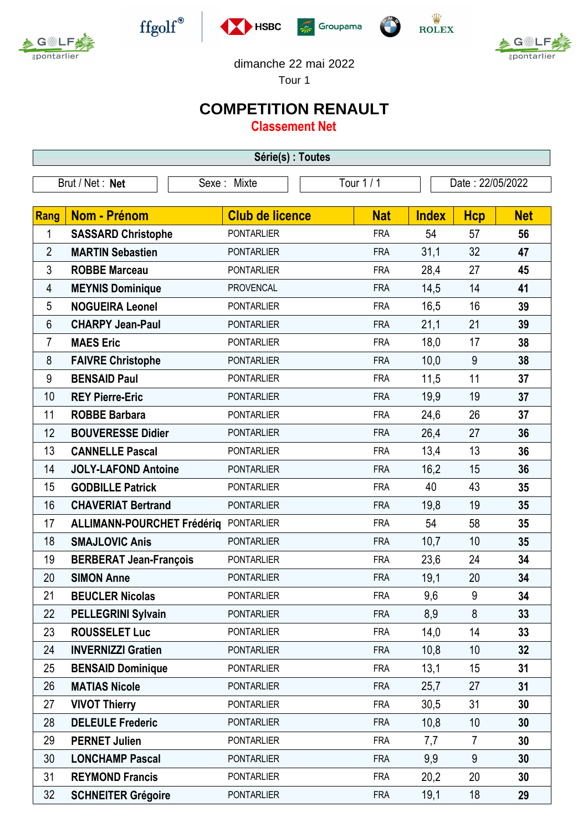



 $\operatorname{ffgolf}^{\circledast}$ 



 $\frac{\dot{W}}{\text{ROLEX}}$ 



dimanche 22 mai 2022

Tour 1

## **COMPETITION RENAULT**

**Classement Net**

| Série(s) : Toutes |                                   |                        |            |              |                  |            |  |  |  |
|-------------------|-----------------------------------|------------------------|------------|--------------|------------------|------------|--|--|--|
| Brut / Net : Net  |                                   | Sexe: Mixte            | Tour 1 / 1 |              | Date: 22/05/2022 |            |  |  |  |
|                   |                                   |                        |            |              |                  |            |  |  |  |
| Rang              | Nom - Prénom                      | <b>Club de licence</b> | <b>Nat</b> | <b>Index</b> | <b>Hcp</b>       | <b>Net</b> |  |  |  |
| 1                 | <b>SASSARD Christophe</b>         | <b>PONTARLIER</b>      | <b>FRA</b> | 54           | 57               | 56         |  |  |  |
| $\overline{2}$    | <b>MARTIN Sebastien</b>           | <b>PONTARLIER</b>      | <b>FRA</b> | 31,1         | 32               | 47         |  |  |  |
| $\mathfrak{Z}$    | <b>ROBBE Marceau</b>              | <b>PONTARLIER</b>      | <b>FRA</b> | 28,4         | 27               | 45         |  |  |  |
| 4                 | <b>MEYNIS Dominique</b>           | <b>PROVENCAL</b>       | <b>FRA</b> | 14,5         | 14               | 41         |  |  |  |
| 5                 | <b>NOGUEIRA Leonel</b>            | <b>PONTARLIER</b>      | <b>FRA</b> | 16,5         | 16               | 39         |  |  |  |
| 6                 | <b>CHARPY Jean-Paul</b>           | <b>PONTARLIER</b>      | <b>FRA</b> | 21,1         | 21               | 39         |  |  |  |
| 7                 | <b>MAES Eric</b>                  | <b>PONTARLIER</b>      | <b>FRA</b> | 18,0         | 17               | 38         |  |  |  |
| 8                 | <b>FAIVRE Christophe</b>          | <b>PONTARLIER</b>      | <b>FRA</b> | 10,0         | 9                | 38         |  |  |  |
| 9                 | <b>BENSAID Paul</b>               | <b>PONTARLIER</b>      | <b>FRA</b> | 11,5         | 11               | 37         |  |  |  |
| 10                | <b>REY Pierre-Eric</b>            | <b>PONTARLIER</b>      | <b>FRA</b> | 19,9         | 19               | 37         |  |  |  |
| 11                | <b>ROBBE Barbara</b>              | <b>PONTARLIER</b>      | <b>FRA</b> | 24,6         | 26               | 37         |  |  |  |
| 12                | <b>BOUVERESSE Didier</b>          | <b>PONTARLIER</b>      | <b>FRA</b> | 26,4         | 27               | 36         |  |  |  |
| 13                | <b>CANNELLE Pascal</b>            | <b>PONTARLIER</b>      | <b>FRA</b> | 13,4         | 13               | 36         |  |  |  |
| 14                | <b>JOLY-LAFOND Antoine</b>        | <b>PONTARLIER</b>      | <b>FRA</b> | 16,2         | 15               | 36         |  |  |  |
| 15                | <b>GODBILLE Patrick</b>           | <b>PONTARLIER</b>      | <b>FRA</b> | 40           | 43               | 35         |  |  |  |
| 16                | <b>CHAVERIAT Bertrand</b>         | <b>PONTARLIER</b>      | <b>FRA</b> | 19,8         | 19               | 35         |  |  |  |
| 17                | <b>ALLIMANN-POURCHET Frédériq</b> | <b>PONTARLIER</b>      | <b>FRA</b> | 54           | 58               | 35         |  |  |  |
| 18                | <b>SMAJLOVIC Anis</b>             | <b>PONTARLIER</b>      | <b>FRA</b> | 10,7         | 10               | 35         |  |  |  |
| 19                | <b>BERBERAT Jean-François</b>     | <b>PONTARLIER</b>      | <b>FRA</b> | 23,6         | 24               | 34         |  |  |  |
| 20                | <b>SIMON Anne</b>                 | <b>PONTARLIER</b>      | <b>FRA</b> | 19,1         | 20               | 34         |  |  |  |
| 21                | <b>BEUCLER Nicolas</b>            | <b>PONTARLIER</b>      | <b>FRA</b> | 9,6          | 9                | 34         |  |  |  |
| 22                | <b>PELLEGRINI Sylvain</b>         | <b>PONTARLIER</b>      | <b>FRA</b> | 8,9          | 8                | 33         |  |  |  |
| 23                | <b>ROUSSELET Luc</b>              | <b>PONTARLIER</b>      | <b>FRA</b> | 14,0         | 14               | 33         |  |  |  |
| 24                | <b>INVERNIZZI Gratien</b>         | <b>PONTARLIER</b>      | <b>FRA</b> | 10,8         | 10               | 32         |  |  |  |
| 25                | <b>BENSAID Dominique</b>          | <b>PONTARLIER</b>      | <b>FRA</b> | 13,1         | 15               | 31         |  |  |  |
| 26                | <b>MATIAS Nicole</b>              | <b>PONTARLIER</b>      | <b>FRA</b> | 25,7         | 27               | 31         |  |  |  |
| 27                | <b>VIVOT Thierry</b>              | <b>PONTARLIER</b>      | <b>FRA</b> | 30,5         | 31               | 30         |  |  |  |
| 28                | <b>DELEULE Frederic</b>           | <b>PONTARLIER</b>      | <b>FRA</b> | 10,8         | 10               | 30         |  |  |  |
| 29                | <b>PERNET Julien</b>              | <b>PONTARLIER</b>      | <b>FRA</b> | 7,7          | $\overline{7}$   | 30         |  |  |  |
| 30                | <b>LONCHAMP Pascal</b>            | <b>PONTARLIER</b>      | <b>FRA</b> | 9,9          | 9                | 30         |  |  |  |
| 31                | <b>REYMOND Francis</b>            | <b>PONTARLIER</b>      | <b>FRA</b> | 20,2         | 20               | 30         |  |  |  |
| 32                | <b>SCHNEITER Grégoire</b>         | <b>PONTARLIER</b>      | <b>FRA</b> | 19,1         | 18               | 29         |  |  |  |